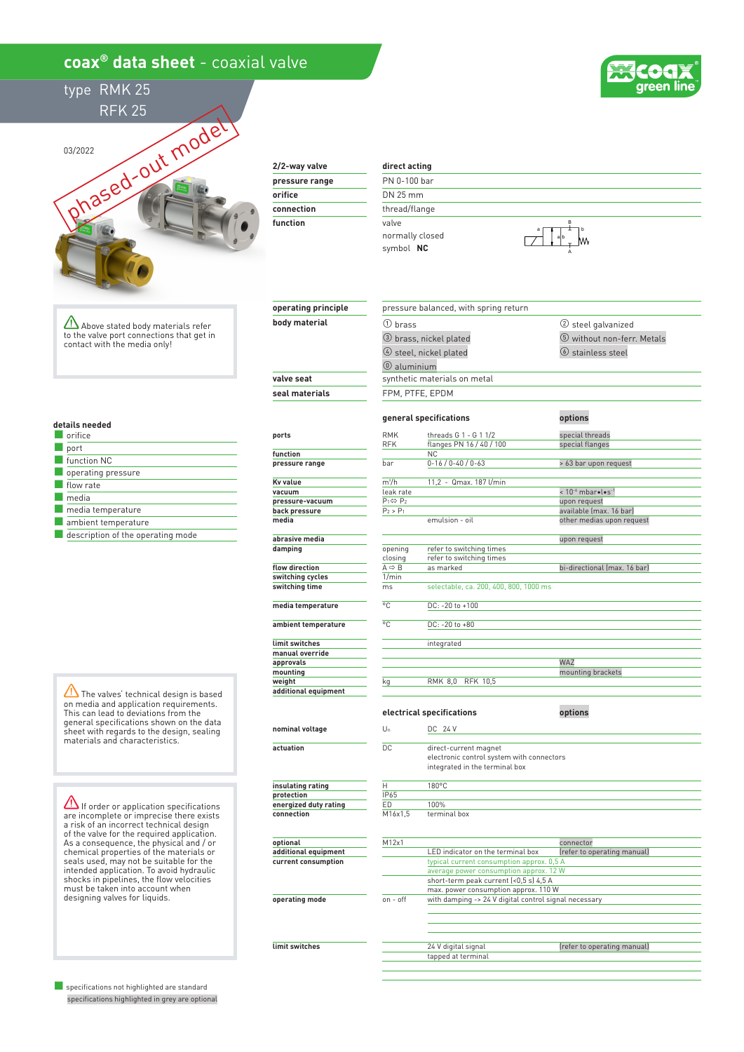## **coax® data sheet** - coaxial valve





03/2022 s/2022<br>phased-out model

### **2/2-way valve**

| pressure range |
|----------------|
| orifice        |
| connection     |
| function       |
|                |

**operating principle body material**

**limit switches**

#### **direct acting** PN 0-100 bar DN 25 mm

① brass

thread/flange valve normally closed symbol  **NC**

③ brass, nickel plated

pressure balanced, with spring return



② steel galvanized ⑤ without non-ferr. Metals

Above stated body materials refer to the valve port connections that get in contact with the media only!

#### **details needed**

| orifice                           |
|-----------------------------------|
| port                              |
| function NC                       |
| operating pressure                |
| flow rate                         |
| media                             |
| media temperature                 |
| ambient temperature               |
| description of the operating mode |

The valves' technical design is based on media and application requirements. This can lead to deviations from the general specifications shown on the data sheet with regards to the design, sealing materials and characteristics.

 $\Delta$  If order or application specifications are incomplete or imprecise there exists a risk of an incorrect technical design of the valve for the required application. As a consequence, the physical and / or chemical properties of the materials or seals used, may not be suitable for the intended application. To avoid hydraulic shocks in pipelines, the flow velocities must be taken into account when designing valves for liquids.

■ specifications not highlighted are standard specifications highlighted in grey are optional

|                       |                              | 4 steel, nickel plated                                                                               | 6 stainless steel            |  |  |  |
|-----------------------|------------------------------|------------------------------------------------------------------------------------------------------|------------------------------|--|--|--|
|                       | $@$ aluminium                |                                                                                                      |                              |  |  |  |
| valve seat            | synthetic materials on metal |                                                                                                      |                              |  |  |  |
| seal materials        |                              | FPM, PTFE, EPDM                                                                                      |                              |  |  |  |
|                       |                              | general specifications                                                                               | options                      |  |  |  |
|                       | <b>RMK</b>                   | threads G 1 - G 1 1/2                                                                                | special threads              |  |  |  |
| ports                 | <b>RFK</b>                   | flanges PN 16 / 40 / 100                                                                             | special flanges              |  |  |  |
| function              |                              | <b>NC</b>                                                                                            |                              |  |  |  |
| pressure range        | bar                          | $0 - 16 / 0 - 40 / 0 - 63$                                                                           | > 63 bar upon request        |  |  |  |
|                       |                              |                                                                                                      |                              |  |  |  |
| <b>Kv</b> value       | m <sup>3</sup> /h            | 11,2 - Qmax. 187 l/min                                                                               |                              |  |  |  |
| vacuum                | leak rate                    |                                                                                                      | $< 10^{-6}$ mbarolos-1       |  |  |  |
| pressure-vacuum       | $P_1 \Leftrightarrow P_2$    |                                                                                                      | upon request                 |  |  |  |
| back pressure         | $P_2 > P_1$                  |                                                                                                      | available (max. 16 bar)      |  |  |  |
| media                 |                              | emulsion - oil                                                                                       | other medias upon request    |  |  |  |
| abrasive media        |                              |                                                                                                      | upon request                 |  |  |  |
| damping               | opening                      | refer to switching times                                                                             |                              |  |  |  |
|                       | closing                      | refer to switching times                                                                             |                              |  |  |  |
| flow direction        | $A \Rightarrow B$            | as marked                                                                                            | bi-directional (max. 16 bar) |  |  |  |
| switching cycles      | 1/min                        |                                                                                                      |                              |  |  |  |
| switching time        | ms                           | selectable, ca. 200, 400, 800, 1000 ms                                                               |                              |  |  |  |
| media temperature     | °C                           | DC: -20 to +100                                                                                      |                              |  |  |  |
| ambient temperature   | °C                           | DC: -20 to +80                                                                                       |                              |  |  |  |
|                       |                              |                                                                                                      |                              |  |  |  |
| limit switches        |                              | integrated                                                                                           |                              |  |  |  |
| manual override       |                              |                                                                                                      |                              |  |  |  |
| approvals             |                              |                                                                                                      | WAZ                          |  |  |  |
| mounting              |                              |                                                                                                      | mounting brackets            |  |  |  |
| weight                | kg                           | <b>RFK 10,5</b><br><b>RMK 8.0</b>                                                                    |                              |  |  |  |
| additional equipment  |                              |                                                                                                      |                              |  |  |  |
|                       |                              | electrical specifications                                                                            | options                      |  |  |  |
| nominal voltage       | $U_n$                        | DC 24 V                                                                                              |                              |  |  |  |
| actuation             | DC.                          |                                                                                                      |                              |  |  |  |
|                       |                              | direct-current magnet<br>electronic control system with connectors<br>integrated in the terminal box |                              |  |  |  |
| insulating rating     | Η                            | 180°C                                                                                                |                              |  |  |  |
| protection            | IP65                         |                                                                                                      |                              |  |  |  |
| energized duty rating | ED                           | 100%                                                                                                 |                              |  |  |  |
| connection            | M16x1,5                      | terminal box                                                                                         |                              |  |  |  |
|                       |                              |                                                                                                      |                              |  |  |  |
| optional              | M12x1                        |                                                                                                      | connector                    |  |  |  |
| additional equipment  |                              | LED indicator on the terminal box                                                                    | (refer to operating manual)  |  |  |  |
| current consumption   |                              | typical current consumption approx. 0,5 A                                                            |                              |  |  |  |
|                       |                              | average power consumption approx. 12 W                                                               |                              |  |  |  |
|                       |                              | short-term peak current (<0,5 s) 4,5 A                                                               |                              |  |  |  |
|                       |                              | max. power consumption approx. 110 W                                                                 |                              |  |  |  |
| operating mode        | on - off                     | with damping -> 24 V digital control signal necessary                                                |                              |  |  |  |

24 V digital signal **and COV** (refer to operating manual) tapped at terminal